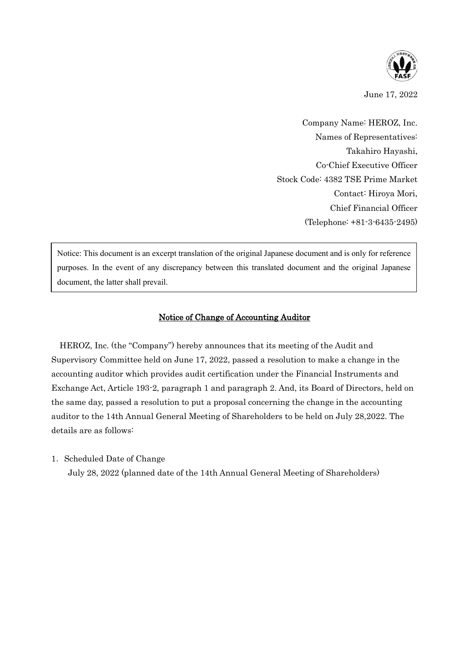

June 17, 2022

Company Name: HEROZ, Inc. Names of Representatives: Takahiro Hayashi, Co-Chief Executive Officer Stock Code: 4382 TSE Prime Market Contact: Hiroya Mori, Chief Financial Officer (Telephone: +81-3-6435-2495)

Notice: This document is an excerpt translation of the original Japanese document and is only for reference purposes. In the event of any discrepancy between this translated document and the original Japanese document, the latter shall prevail.

## Notice of Change of Accounting Auditor

HEROZ, Inc. (the "Company") hereby announces that its meeting of the Audit and Supervisory Committee held on June 17, 2022, passed a resolution to make a change in the accounting auditor which provides audit certification under the Financial Instruments and Exchange Act, Article 193-2, paragraph 1 and paragraph 2. And, its Board of Directors, held on the same day, passed a resolution to put a proposal concerning the change in the accounting auditor to the 14th Annual General Meeting of Shareholders to be held on July 28,2022. The details are as follows:

1. Scheduled Date of Change

July 28, 2022 (planned date of the 14th Annual General Meeting of Shareholders)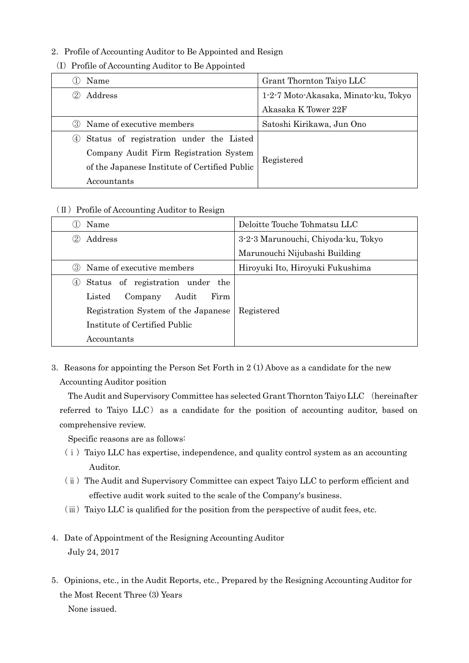## 2. Profile of Accounting Auditor to Be Appointed and Resign

- ① Name Grant Thornton Taiyo LLC ② Address 1-2-7 Moto-Akasaka, Minato-ku, Tokyo Akasaka K Tower 22F ③ Name of executive members Satoshi Kirikawa, Jun Ono ④ Status of registration under the Listed Company Audit Firm Registration System of the Japanese Institute of Certified Public Accountants Registered
- (I)Profile of Accounting Auditor to Be Appointed

## (Ⅱ)Profile of Accounting Auditor to Resign

| Name                                    | Deloitte Touche Tohmatsu LLC        |
|-----------------------------------------|-------------------------------------|
| Address                                 | 3-2-3 Marunouchi, Chiyoda-ku, Tokyo |
|                                         | Marunouchi Nijubashi Building       |
| Name of executive members<br>(3)        | Hiroyuki Ito, Hiroyuki Fukushima    |
| Status of registration under the<br>(4) |                                     |
| Firm<br>Audit<br>Listed<br>Company      |                                     |
| Registration System of the Japanese     | Registered                          |
| Institute of Certified Public           |                                     |
| Accountants                             |                                     |

3. Reasons for appointing the Person Set Forth in  $2(1)$  Above as a candidate for the new Accounting Auditor position

The Audit and Supervisory Committee has selected Grant Thornton Taiyo LLC (hereinafter referred to Taiyo LLC) as a candidate for the position of accounting auditor, based on comprehensive review.

Specific reasons are as follows:

- $(i)$  Taiyo LLC has expertise, independence, and quality control system as an accounting Auditor.
- (ⅱ)The Audit and Supervisory Committee can expect Taiyo LLC to perform efficient and effective audit work suited to the scale of the Company's business.
- $(iii)$  Taiyo LLC is qualified for the position from the perspective of audit fees, etc.
- 4.Date of Appointment of the Resigning Accounting Auditor July 24, 2017
- 5.Opinions, etc., in the Audit Reports, etc., Prepared by the Resigning Accounting Auditor for the Most Recent Three (3) Years

None issued.